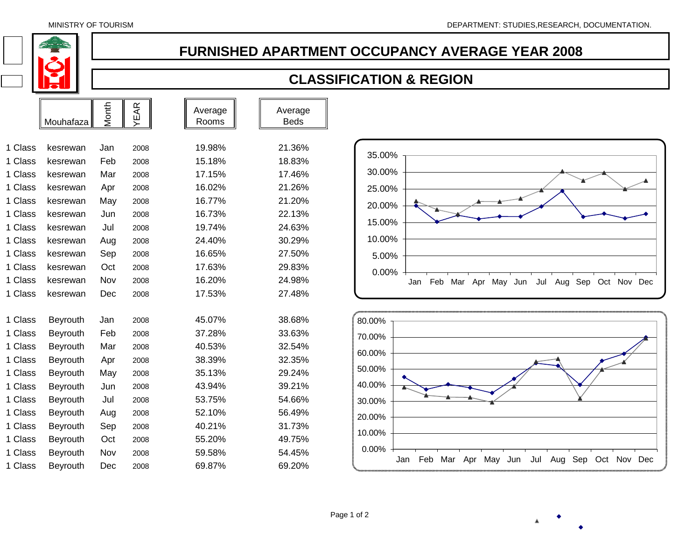

## **FURNISHED APARTMENT OCCUPANCY AVERAGE YEAR 2008**

## **CLASSIFICATION & REGION**

|                    | Mouhafaza       | Month | EAR  | Average<br>Rooms | Average<br><b>Beds</b> |
|--------------------|-----------------|-------|------|------------------|------------------------|
|                    |                 |       |      |                  |                        |
| 1 Class            | kesrewan        | Jan   | 2008 | 19.98%           | 21.36%                 |
| 1 Class            | kesrewan        | Feb   | 2008 | 15.18%           | 18.83%                 |
| 1 Class            | kesrewan        | Mar   | 2008 | 17.15%           | 17.46%                 |
| 1 Class            | kesrewan        | Apr   | 2008 | 16.02%           | 21.26%                 |
| 1 Class            | kesrewan        | May   | 2008 | 16.77%           | 21.20%                 |
| 1 Class            | kesrewan        | Jun   | 2008 | 16.73%           | 22.13%                 |
| 1 Class            | kesrewan        | Jul   | 2008 | 19.74%           | 24.63%                 |
| <b>Class</b><br>1. | kesrewan        | Aug   | 2008 | 24.40%           | 30.29%                 |
| 1 Class            | kesrewan        | Sep   | 2008 | 16.65%           | 27.50%                 |
| 1 Class            | kesrewan        | Oct   | 2008 | 17.63%           | 29.83%                 |
| 1 Class            | kesrewan        | Nov   | 2008 | 16.20%           | 24.98%                 |
| 1 Class            | kesrewan        | Dec   | 2008 | 17.53%           | 27.48%                 |
| 1 Class            | <b>Beyrouth</b> | Jan   | 2008 | 45.07%           | 38.68%                 |
| 1 Class            | <b>Beyrouth</b> | Feb   | 2008 | 37.28%           | 33.63%                 |
| 1 Class            | <b>Beyrouth</b> | Mar   | 2008 | 40.53%           | 32.54%                 |
| 1 Class            | <b>Beyrouth</b> | Apr   | 2008 | 38.39%           | 32.35%                 |
| 1 Class            | <b>Beyrouth</b> | May   | 2008 | 35.13%           | 29.24%                 |
| 1 Class            | <b>Beyrouth</b> | Jun   | 2008 | 43.94%           | 39.21%                 |
| 1 Class            | <b>Beyrouth</b> | Jul   | 2008 | 53.75%           | 54.66%                 |
| 1 Class            | <b>Beyrouth</b> | Aug   | 2008 | 52.10%           | 56.49%                 |
| 1 Class            | <b>Beyrouth</b> | Sep   | 2008 | 40.21%           | 31.73%                 |
| 1 Class            | <b>Beyrouth</b> | Oct   | 2008 | 55.20%           | 49.75%                 |
| 1 Class            | <b>Beyrouth</b> | Nov   | 2008 | 59.58%           | 54.45%                 |
| 1 Class            | <b>Beyrouth</b> | Dec   | 2008 | 69.87%           | 69.20%                 |